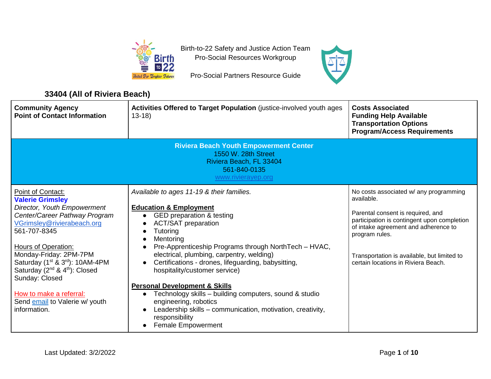

Birth-to-22 Safety and Justice Action Team Pro-Social Resources Workgroup

Pro-Social Partners Resource Guide

## **33404 (All of Riviera Beach)**

| <b>Community Agency</b><br><b>Point of Contact Information</b>                                                                                                                                                                                                                                                                                                                                                                 | Activities Offered to Target Population (justice-involved youth ages<br>$13-18$                                                                                                                                                                                                                                                                                                                                                                                                                                                                                                                                                                                                            | <b>Costs Associated</b><br><b>Funding Help Available</b><br><b>Transportation Options</b><br><b>Program/Access Requirements</b>                                                                                                                                                          |
|--------------------------------------------------------------------------------------------------------------------------------------------------------------------------------------------------------------------------------------------------------------------------------------------------------------------------------------------------------------------------------------------------------------------------------|--------------------------------------------------------------------------------------------------------------------------------------------------------------------------------------------------------------------------------------------------------------------------------------------------------------------------------------------------------------------------------------------------------------------------------------------------------------------------------------------------------------------------------------------------------------------------------------------------------------------------------------------------------------------------------------------|------------------------------------------------------------------------------------------------------------------------------------------------------------------------------------------------------------------------------------------------------------------------------------------|
| <b>Riviera Beach Youth Empowerment Center</b><br>1550 W. 28th Street<br>Riviera Beach, FL 33404<br>561-840-0135<br>www.rivierayep.org                                                                                                                                                                                                                                                                                          |                                                                                                                                                                                                                                                                                                                                                                                                                                                                                                                                                                                                                                                                                            |                                                                                                                                                                                                                                                                                          |
| Point of Contact:<br><b>Valerie Grimsley</b><br>Director, Youth Empowerment<br>Center/Career Pathway Program<br>VGrimsley@rivierabeach.org<br>561-707-8345<br>Hours of Operation:<br>Monday-Friday: 2PM-7PM<br>Saturday (1 <sup>st</sup> & 3 <sup>rd</sup> ): 10AM-4PM<br>Saturday (2 <sup>nd</sup> & 4 <sup>th</sup> ): Closed<br>Sunday: Closed<br>How to make a referral:<br>Send email to Valerie w/ youth<br>information. | Available to ages 11-19 & their families.<br><b>Education &amp; Employment</b><br>GED preparation & testing<br>$\bullet$<br><b>ACT/SAT preparation</b><br>Tutoring<br>$\bullet$<br>Mentoring<br>$\bullet$<br>Pre-Apprenticeship Programs through NorthTech - HVAC,<br>electrical, plumbing, carpentry, welding)<br>Certifications - drones, lifeguarding, babysitting,<br>hospitality/customer service)<br><b>Personal Development &amp; Skills</b><br>Technology skills - building computers, sound & studio<br>$\bullet$<br>engineering, robotics<br>Leadership skills - communication, motivation, creativity,<br>$\bullet$<br>responsibility<br><b>Female Empowerment</b><br>$\bullet$ | No costs associated w/ any programming<br>available.<br>Parental consent is required, and<br>participation is contingent upon completion<br>of intake agreement and adherence to<br>program rules.<br>Transportation is available, but limited to<br>certain locations in Riviera Beach. |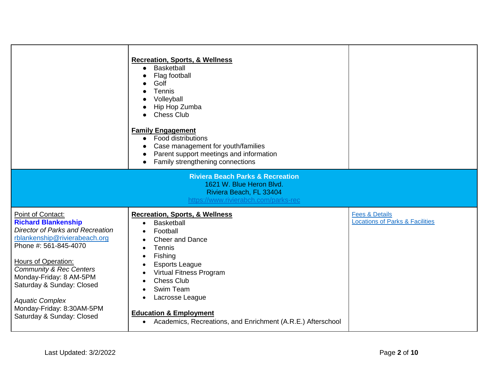|                                                                                                                                                                                                                                                                                                                                                               | <b>Recreation, Sports, &amp; Wellness</b><br>Basketball<br>$\bullet$<br>Flag football<br>Golf<br>Tennis<br>Volleyball<br>Hip Hop Zumba<br><b>Chess Club</b><br>$\bullet$<br><b>Family Engagement</b><br><b>Food distributions</b><br>$\bullet$<br>Case management for youth/families<br>$\bullet$<br>Parent support meetings and information<br>$\bullet$<br>Family strengthening connections<br>$\bullet$                                     |                                                                         |
|---------------------------------------------------------------------------------------------------------------------------------------------------------------------------------------------------------------------------------------------------------------------------------------------------------------------------------------------------------------|------------------------------------------------------------------------------------------------------------------------------------------------------------------------------------------------------------------------------------------------------------------------------------------------------------------------------------------------------------------------------------------------------------------------------------------------|-------------------------------------------------------------------------|
|                                                                                                                                                                                                                                                                                                                                                               | <b>Riviera Beach Parks &amp; Recreation</b><br>1621 W. Blue Heron Blvd.<br>Riviera Beach, FL 33404<br>https://www.rivierabch.com/parks-rec                                                                                                                                                                                                                                                                                                     |                                                                         |
| Point of Contact:<br><b>Richard Blankenship</b><br><b>Director of Parks and Recreation</b><br>rblankenship@rivierabeach.org<br>Phone #: 561-845-4070<br>Hours of Operation:<br><b>Community &amp; Rec Centers</b><br>Monday-Friday: 8 AM-5PM<br>Saturday & Sunday: Closed<br><b>Aquatic Complex</b><br>Monday-Friday: 8:30AM-5PM<br>Saturday & Sunday: Closed | <b>Recreation, Sports, &amp; Wellness</b><br><b>Basketball</b><br>$\bullet$<br>Football<br>$\bullet$<br><b>Cheer and Dance</b><br>Tennis<br>$\bullet$<br>Fishing<br>$\bullet$<br><b>Esports League</b><br>Virtual Fitness Program<br>$\bullet$<br><b>Chess Club</b><br>$\bullet$<br>Swim Team<br>Lacrosse League<br>$\bullet$<br><b>Education &amp; Employment</b><br>Academics, Recreations, and Enrichment (A.R.E.) Afterschool<br>$\bullet$ | <b>Fees &amp; Details</b><br><b>Locations of Parks &amp; Facilities</b> |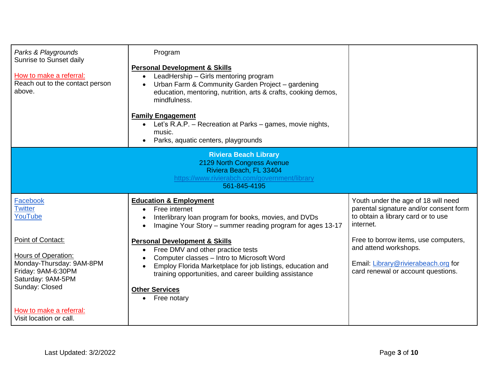| Parks & Playgrounds<br>Sunrise to Sunset daily<br>How to make a referral:<br>Reach out to the contact person<br>above.                                       | Program<br><b>Personal Development &amp; Skills</b><br>LeadHership - Girls mentoring program<br>$\bullet$<br>Urban Farm & Community Garden Project - gardening<br>$\bullet$<br>education, mentoring, nutrition, arts & crafts, cooking demos,<br>mindfulness.<br><b>Family Engagement</b><br>Let's R.A.P. - Recreation at Parks - games, movie nights,<br>$\bullet$<br>music.<br>Parks, aquatic centers, playgrounds |                                                                                                                                            |  |
|--------------------------------------------------------------------------------------------------------------------------------------------------------------|----------------------------------------------------------------------------------------------------------------------------------------------------------------------------------------------------------------------------------------------------------------------------------------------------------------------------------------------------------------------------------------------------------------------|--------------------------------------------------------------------------------------------------------------------------------------------|--|
| <b>Riviera Beach Library</b><br>2129 North Congress Avenue<br>Riviera Beach, FL 33404<br>https://www.rivierabch.com/government/library<br>561-845-4195       |                                                                                                                                                                                                                                                                                                                                                                                                                      |                                                                                                                                            |  |
| Facebook<br><b>Twitter</b><br>YouTube                                                                                                                        | <b>Education &amp; Employment</b><br>Free internet<br>$\bullet$<br>Interlibrary loan program for books, movies, and DVDs<br>Imagine Your Story - summer reading program for ages 13-17<br>$\bullet$                                                                                                                                                                                                                  | Youth under the age of 18 will need<br>parental signature and/or consent form<br>to obtain a library card or to use<br>internet.           |  |
| Point of Contact:<br>Hours of Operation:<br>Monday-Thursday: 9AM-8PM<br>Friday: 9AM-6:30PM<br>Saturday: 9AM-5PM<br>Sunday: Closed<br>How to make a referral: | <b>Personal Development &amp; Skills</b><br>Free DMV and other practice tests<br>$\bullet$<br>Computer classes - Intro to Microsoft Word<br>Employ Florida Marketplace for job listings, education and<br>training opportunities, and career building assistance<br><b>Other Services</b><br>Free notary<br>$\bullet$                                                                                                | Free to borrow items, use computers,<br>and attend workshops.<br>Email: Library@rivierabeach.org for<br>card renewal or account questions. |  |
| Visit location or call.                                                                                                                                      |                                                                                                                                                                                                                                                                                                                                                                                                                      |                                                                                                                                            |  |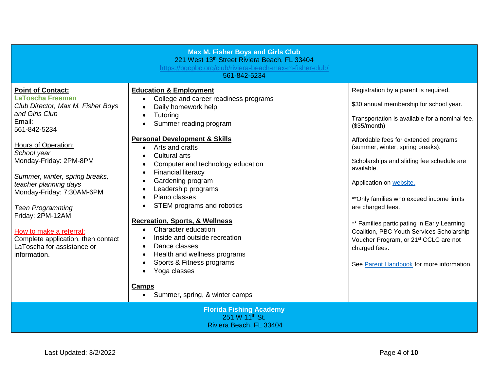| <b>Max M. Fisher Boys and Girls Club</b><br>221 West 13th Street Riviera Beach, FL 33404<br>https://bgcpbc.org/club/riviera-beach-max-m-fisher-club/<br>561-842-5234                   |                                                                                                                                                                                                               |                                                                                                                                                                                                                                   |
|----------------------------------------------------------------------------------------------------------------------------------------------------------------------------------------|---------------------------------------------------------------------------------------------------------------------------------------------------------------------------------------------------------------|-----------------------------------------------------------------------------------------------------------------------------------------------------------------------------------------------------------------------------------|
| <b>Point of Contact:</b><br><b>LaToscha Freeman</b><br>Club Director, Max M. Fisher Boys<br>and Girls Club<br>Email:<br>561-842-5234                                                   | <b>Education &amp; Employment</b><br>College and career readiness programs<br>$\bullet$<br>Daily homework help<br>$\bullet$<br>Tutoring<br>Summer reading program<br><b>Personal Development &amp; Skills</b> | Registration by a parent is required.<br>\$30 annual membership for school year.<br>Transportation is available for a nominal fee.<br>(\$35/month)                                                                                |
| <b>Hours of Operation:</b><br>School year<br>Monday-Friday: 2PM-8PM<br>Summer, winter, spring breaks,<br>teacher planning days<br>Monday-Friday: 7:30AM-6PM<br><b>Teen Programming</b> | Arts and crafts<br><b>Cultural arts</b><br>Computer and technology education<br><b>Financial literacy</b><br>Gardening program<br>Leadership programs<br>Piano classes<br>STEM programs and robotics          | Affordable fees for extended programs<br>(summer, winter, spring breaks).<br>Scholarships and sliding fee schedule are<br>available.<br>Application on website.<br>** Only families who exceed income limits<br>are charged fees. |
| Friday: 2PM-12AM<br>How to make a referral:<br>Complete application, then contact<br>LaToscha for assistance or<br>$\bullet$<br>information.<br>$\bullet$<br>$\bullet$<br>Camps        | <b>Recreation, Sports, &amp; Wellness</b><br>Character education<br>Inside and outside recreation<br>Dance classes<br>Health and wellness programs<br>Sports & Fitness programs<br>Yoga classes               | ** Families participating in Early Learning<br>Coalition, PBC Youth Services Scholarship<br>Voucher Program, or 21 <sup>st</sup> CCLC are not<br>charged fees.<br>See Parent Handbook for more information.                       |
| Summer, spring, & winter camps<br><b>Florida Fishing Academy</b><br>251 W 11 <sup>th</sup> St.<br>Riviera Beach, FL 33404                                                              |                                                                                                                                                                                                               |                                                                                                                                                                                                                                   |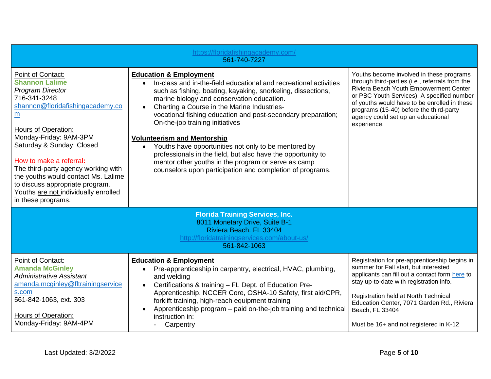| https://floridafishingacademy.com/<br>561-740-7227                                                                                                                                                                                                                                                                                                                                                                            |                                                                                                                                                                                                                                                                                                                                                                                                                                                                                                                                                                                                                                                                       |                                                                                                                                                                                                                                                                                                                                        |  |
|-------------------------------------------------------------------------------------------------------------------------------------------------------------------------------------------------------------------------------------------------------------------------------------------------------------------------------------------------------------------------------------------------------------------------------|-----------------------------------------------------------------------------------------------------------------------------------------------------------------------------------------------------------------------------------------------------------------------------------------------------------------------------------------------------------------------------------------------------------------------------------------------------------------------------------------------------------------------------------------------------------------------------------------------------------------------------------------------------------------------|----------------------------------------------------------------------------------------------------------------------------------------------------------------------------------------------------------------------------------------------------------------------------------------------------------------------------------------|--|
| Point of Contact:<br><b>Shannon Lalime</b><br><b>Program Director</b><br>716-341-3248<br>shannon@floridafishingacademy.co<br>m<br><b>Hours of Operation:</b><br>Monday-Friday: 9AM-3PM<br>Saturday & Sunday: Closed<br>How to make a referral:<br>The third-party agency working with<br>the youths would contact Ms. Lalime<br>to discuss appropriate program.<br>Youths are not individually enrolled<br>in these programs. | <b>Education &amp; Employment</b><br>In-class and in-the-field educational and recreational activities<br>such as fishing, boating, kayaking, snorkeling, dissections,<br>marine biology and conservation education.<br>Charting a Course in the Marine Industries-<br>vocational fishing education and post-secondary preparation;<br>On-the-job training initiatives<br><b>Volunteerism and Mentorship</b><br>Youths have opportunities not only to be mentored by<br>$\bullet$<br>professionals in the field, but also have the opportunity to<br>mentor other youths in the program or serve as camp<br>counselors upon participation and completion of programs. | Youths become involved in these programs<br>through third-parties (i.e., referrals from the<br>Riviera Beach Youth Empowerment Center<br>or PBC Youth Services). A specified number<br>of youths would have to be enrolled in these<br>programs (15-40) before the third-party<br>agency could set up an educational<br>experience.    |  |
| <b>Florida Training Services, Inc.</b><br>8011 Monetary Drive, Suite B-1<br>Riviera Beach. FL 33404<br>http://floridatrainingservices.com/about-us/<br>561-842-1063                                                                                                                                                                                                                                                           |                                                                                                                                                                                                                                                                                                                                                                                                                                                                                                                                                                                                                                                                       |                                                                                                                                                                                                                                                                                                                                        |  |
| Point of Contact:<br><b>Amanda McGinley</b><br><b>Administrative Assistant</b><br>amanda.mcginley@fltrainingservice<br>s.com<br>561-842-1063, ext. 303<br>Hours of Operation:<br>Monday-Friday: 9AM-4PM                                                                                                                                                                                                                       | <b>Education &amp; Employment</b><br>Pre-apprenticeship in carpentry, electrical, HVAC, plumbing,<br>and welding<br>Certifications & training - FL Dept. of Education Pre-<br>Apprenticeship, NCCER Core, OSHA-10 Safety, first aid/CPR,<br>forklift training, high-reach equipment training<br>Apprenticeship program - paid on-the-job training and technical<br>instruction in:<br>Carpentry                                                                                                                                                                                                                                                                       | Registration for pre-apprenticeship begins in<br>summer for Fall start, but interested<br>applicants can fill out a contact form here to<br>stay up-to-date with registration info.<br>Registration held at North Technical<br>Education Center, 7071 Garden Rd., Riviera<br>Beach, FL 33404<br>Must be 16+ and not registered in K-12 |  |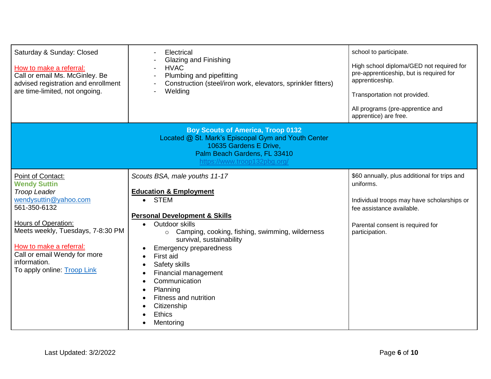| Saturday & Sunday: Closed<br>How to make a referral:<br>Call or email Ms. McGinley. Be<br>advised registration and enrollment<br>are time-limited, not ongoing.                                                                                                                | Electrical<br>Glazing and Finishing<br><b>HVAC</b><br>Plumbing and pipefitting<br>Construction (steel/iron work, elevators, sprinkler fitters)<br>Welding                                                                                                                                                                                                                                                                                                                 | school to participate.<br>High school diploma/GED not required for<br>pre-apprenticeship, but is required for<br>apprenticeship.<br>Transportation not provided.<br>All programs (pre-apprentice and<br>apprentice) are free. |  |  |
|--------------------------------------------------------------------------------------------------------------------------------------------------------------------------------------------------------------------------------------------------------------------------------|---------------------------------------------------------------------------------------------------------------------------------------------------------------------------------------------------------------------------------------------------------------------------------------------------------------------------------------------------------------------------------------------------------------------------------------------------------------------------|-------------------------------------------------------------------------------------------------------------------------------------------------------------------------------------------------------------------------------|--|--|
|                                                                                                                                                                                                                                                                                | <b>Boy Scouts of America, Troop 0132</b><br>Located @ St. Mark's Episcopal Gym and Youth Center<br>10635 Gardens E Drive,<br>Palm Beach Gardens, FL 33410<br>https://www.troop132pbg.org/                                                                                                                                                                                                                                                                                 |                                                                                                                                                                                                                               |  |  |
| Point of Contact:<br><b>Wendy Suttin</b><br><b>Troop Leader</b><br>wendysuttin@yahoo.com<br>561-350-6132<br>Hours of Operation:<br>Meets weekly, Tuesdays, 7-8:30 PM<br>How to make a referral:<br>Call or email Wendy for more<br>information.<br>To apply online: Troop Link | Scouts BSA, male youths 11-17<br><b>Education &amp; Employment</b><br>• STEM<br><b>Personal Development &amp; Skills</b><br>Outdoor skills<br>$\bullet$<br>o Camping, cooking, fishing, swimming, wilderness<br>survival, sustainability<br><b>Emergency preparedness</b><br>First aid<br>Safety skills<br>Financial management<br>$\bullet$<br>Communication<br>$\bullet$<br>Planning<br>$\bullet$<br>Fitness and nutrition<br>Citizenship<br><b>Ethics</b><br>Mentoring | \$60 annually, plus additional for trips and<br>uniforms.<br>Individual troops may have scholarships or<br>fee assistance available.<br>Parental consent is required for<br>participation.                                    |  |  |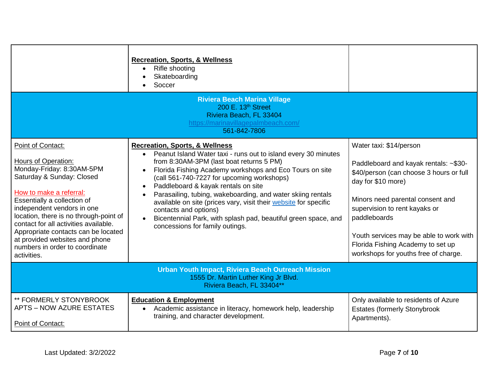|                                                                                                                                                                                                                                                                                                                                                                                                                | <b>Recreation, Sports, &amp; Wellness</b><br>Rifle shooting<br>Skateboarding<br>Soccer                                                                                                                                                                                                                                                                                                                                                                                                                                                                                                |                                                                                                                                                                                                                                                                                                                                                |
|----------------------------------------------------------------------------------------------------------------------------------------------------------------------------------------------------------------------------------------------------------------------------------------------------------------------------------------------------------------------------------------------------------------|---------------------------------------------------------------------------------------------------------------------------------------------------------------------------------------------------------------------------------------------------------------------------------------------------------------------------------------------------------------------------------------------------------------------------------------------------------------------------------------------------------------------------------------------------------------------------------------|------------------------------------------------------------------------------------------------------------------------------------------------------------------------------------------------------------------------------------------------------------------------------------------------------------------------------------------------|
| <b>Riviera Beach Marina Village</b><br>200 E. 13th Street<br>Riviera Beach, FL 33404<br>https://marinavillagepalmbeach.com/<br>561-842-7806                                                                                                                                                                                                                                                                    |                                                                                                                                                                                                                                                                                                                                                                                                                                                                                                                                                                                       |                                                                                                                                                                                                                                                                                                                                                |
| Point of Contact:<br><b>Hours of Operation:</b><br>Monday-Friday: 8:30AM-5PM<br>Saturday & Sunday: Closed<br>How to make a referral:<br>Essentially a collection of<br>independent vendors in one<br>location, there is no through-point of<br>contact for all activities available.<br>Appropriate contacts can be located<br>at provided websites and phone<br>numbers in order to coordinate<br>activities. | <b>Recreation, Sports, &amp; Wellness</b><br>Peanut Island Water taxi - runs out to island every 30 minutes<br>$\bullet$<br>from 8:30AM-3PM (last boat returns 5 PM)<br>Florida Fishing Academy workshops and Eco Tours on site<br>(call 561-740-7227 for upcoming workshops)<br>Paddleboard & kayak rentals on site<br>Parasailing, tubing, wakeboarding, and water skiing rentals<br>available on site (prices vary, visit their website for specific<br>contacts and options)<br>Bicentennial Park, with splash pad, beautiful green space, and<br>concessions for family outings. | Water taxi: \$14/person<br>Paddleboard and kayak rentals: ~\$30-<br>\$40/person (can choose 3 hours or full<br>day for \$10 more)<br>Minors need parental consent and<br>supervision to rent kayaks or<br>paddleboards<br>Youth services may be able to work with<br>Florida Fishing Academy to set up<br>workshops for youths free of charge. |
| <b>Urban Youth Impact, Riviera Beach Outreach Mission</b><br>1555 Dr. Martin Luther King Jr Blvd.<br>Riviera Beach, FL 33404**                                                                                                                                                                                                                                                                                 |                                                                                                                                                                                                                                                                                                                                                                                                                                                                                                                                                                                       |                                                                                                                                                                                                                                                                                                                                                |
| ** FORMERLY STONYBROOK<br><b>APTS – NOW AZURE ESTATES</b><br>Point of Contact:                                                                                                                                                                                                                                                                                                                                 | <b>Education &amp; Employment</b><br>Academic assistance in literacy, homework help, leadership<br>$\bullet$<br>training, and character development.                                                                                                                                                                                                                                                                                                                                                                                                                                  | Only available to residents of Azure<br><b>Estates (formerly Stonybrook</b><br>Apartments).                                                                                                                                                                                                                                                    |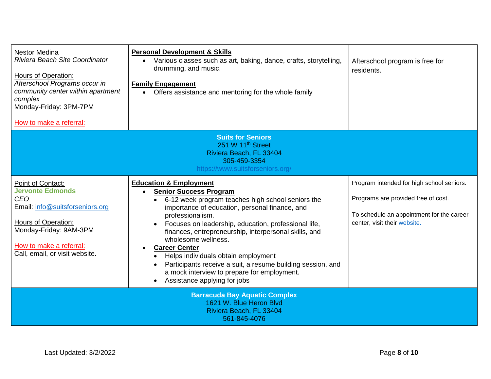| <b>Nestor Medina</b><br>Riviera Beach Site Coordinator<br>Hours of Operation:<br>Afterschool Programs occur in<br>community center within apartment<br>complex<br>Monday-Friday: 3PM-7PM<br>How to make a referral: | <b>Personal Development &amp; Skills</b><br>Various classes such as art, baking, dance, crafts, storytelling,<br>$\bullet$<br>drumming, and music.<br><b>Family Engagement</b><br>• Offers assistance and mentoring for the whole family                                                                                                                                                                                                                                                                                                                        | Afterschool program is free for<br>residents.                                                                                                                 |
|---------------------------------------------------------------------------------------------------------------------------------------------------------------------------------------------------------------------|-----------------------------------------------------------------------------------------------------------------------------------------------------------------------------------------------------------------------------------------------------------------------------------------------------------------------------------------------------------------------------------------------------------------------------------------------------------------------------------------------------------------------------------------------------------------|---------------------------------------------------------------------------------------------------------------------------------------------------------------|
|                                                                                                                                                                                                                     | <b>Suits for Seniors</b><br>251 W 11 <sup>th</sup> Street                                                                                                                                                                                                                                                                                                                                                                                                                                                                                                       |                                                                                                                                                               |
|                                                                                                                                                                                                                     | Riviera Beach, FL 33404                                                                                                                                                                                                                                                                                                                                                                                                                                                                                                                                         |                                                                                                                                                               |
|                                                                                                                                                                                                                     | 305-459-3354<br>https://www.suitsforseniors.org/                                                                                                                                                                                                                                                                                                                                                                                                                                                                                                                |                                                                                                                                                               |
| Point of Contact:<br><b>Jervonte Edmonds</b><br><b>CEO</b><br>Email: info@suitsforseniors.org<br>Hours of Operation:<br>Monday-Friday: 9AM-3PM<br>How to make a referral:<br>Call, email, or visit website.         | <b>Education &amp; Employment</b><br><b>Senior Success Program</b><br>$\bullet$<br>6-12 week program teaches high school seniors the<br>importance of education, personal finance, and<br>professionalism.<br>Focuses on leadership, education, professional life,<br>finances, entrepreneurship, interpersonal skills, and<br>wholesome wellness.<br><b>Career Center</b><br>Helps individuals obtain employment<br>Participants receive a suit, a resume building session, and<br>a mock interview to prepare for employment.<br>Assistance applying for jobs | Program intended for high school seniors.<br>Programs are provided free of cost.<br>To schedule an appointment for the career<br>center, visit their website. |
| <b>Barracuda Bay Aquatic Complex</b><br>1621 W. Blue Heron Blvd<br>Riviera Beach, FL 33404<br>561-845-4076                                                                                                          |                                                                                                                                                                                                                                                                                                                                                                                                                                                                                                                                                                 |                                                                                                                                                               |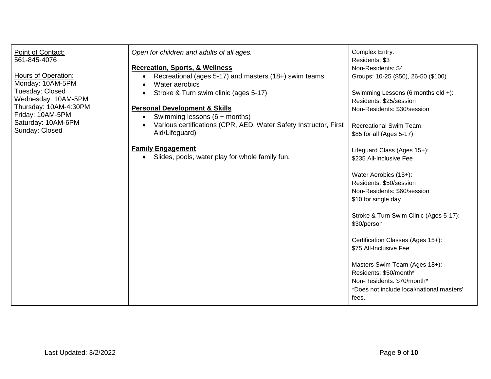| Point of Contact:                         | Open for children and adults of all ages.                                                         | Complex Entry:                                                                   |
|-------------------------------------------|---------------------------------------------------------------------------------------------------|----------------------------------------------------------------------------------|
| 561-845-4076                              |                                                                                                   | Residents: \$3                                                                   |
|                                           | <b>Recreation, Sports, &amp; Wellness</b>                                                         | Non-Residents: \$4                                                               |
| Hours of Operation:<br>Monday: 10AM-5PM   | Recreational (ages 5-17) and masters (18+) swim teams<br>$\bullet$<br>Water aerobics<br>$\bullet$ | Groups: 10-25 (\$50), 26-50 (\$100)                                              |
| Tuesday: Closed<br>Wednesday: 10AM-5PM    | Stroke & Turn swim clinic (ages 5-17)<br>$\bullet$                                                | Swimming Lessons (6 months old +):<br>Residents: \$25/session                    |
| Thursday: 10AM-4:30PM<br>Friday: 10AM-5PM | <b>Personal Development &amp; Skills</b><br>Swimming lessons $(6 +$ months)                       | Non-Residents: \$30/session                                                      |
| Saturday: 10AM-6PM<br>Sunday: Closed      | Various certifications (CPR, AED, Water Safety Instructor, First<br>Aid/Lifeguard)                | <b>Recreational Swim Team:</b><br>\$85 for all (Ages 5-17)                       |
|                                           | <b>Family Engagement</b>                                                                          | Lifeguard Class (Ages 15+):                                                      |
|                                           | Slides, pools, water play for whole family fun.<br>$\bullet$                                      | \$235 All-Inclusive Fee                                                          |
|                                           |                                                                                                   | Water Aerobics (15+):<br>Residents: \$50/session                                 |
|                                           |                                                                                                   | Non-Residents: \$60/session                                                      |
|                                           |                                                                                                   | \$10 for single day                                                              |
|                                           |                                                                                                   | Stroke & Turn Swim Clinic (Ages 5-17):<br>\$30/person                            |
|                                           |                                                                                                   | Certification Classes (Ages 15+):<br>\$75 All-Inclusive Fee                      |
|                                           |                                                                                                   | Masters Swim Team (Ages 18+):<br>Residents: \$50/month*                          |
|                                           |                                                                                                   | Non-Residents: \$70/month*<br>*Does not include local/national masters'<br>fees. |